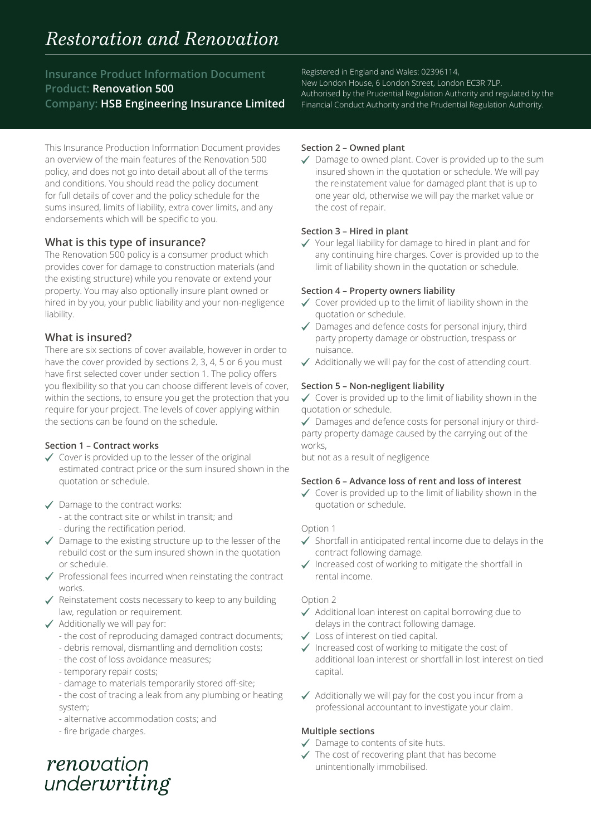# *Restoration and Renovation*

**Insurance Product Information Document Product: Renovation 500 Company: HSB Engineering Insurance Limited**

This Insurance Production Information Document provides an overview of the main features of the Renovation 500 policy, and does not go into detail about all of the terms and conditions. You should read the policy document for full details of cover and the policy schedule for the sums insured, limits of liability, extra cover limits, and any endorsements which will be specific to you.

# **What is this type of insurance?**

The Renovation 500 policy is a consumer product which provides cover for damage to construction materials (and the existing structure) while you renovate or extend your property. You may also optionally insure plant owned or hired in by you, your public liability and your non-negligence liability.

# **What is insured?**

There are six sections of cover available, however in order to have the cover provided by sections 2, 3, 4, 5 or 6 you must have first selected cover under section 1. The policy offers you flexibility so that you can choose different levels of cover, within the sections, to ensure you get the protection that you require for your project. The levels of cover applying within the sections can be found on the schedule.

## **Section 1 – Contract works**

- $\checkmark$  Cover is provided up to the lesser of the original estimated contract price or the sum insured shown in the quotation or schedule.
- ◆ Damage to the contract works: - at the contract site or whilst in transit; and - during the rectification period.
- $\checkmark$  Damage to the existing structure up to the lesser of the rebuild cost or the sum insured shown in the quotation or schedule.
- $\checkmark$  Professional fees incurred when reinstating the contract works.
- $\checkmark$  Reinstatement costs necessary to keep to any building law, regulation or requirement.
- $\checkmark$  Additionally we will pay for:
	- the cost of reproducing damaged contract documents;
	- debris removal, dismantling and demolition costs;
	- the cost of loss avoidance measures;
	- temporary repair costs;
	- damage to materials temporarily stored off-site;
	- the cost of tracing a leak from any plumbing or heating system;
	- alternative accommodation costs; and
	- fire brigade charges.

renovation underwriting Registered in England and Wales: 02396114,

New London House, 6 London Street, London EC3R 7LP. Authorised by the Prudential Regulation Authority and regulated by the Financial Conduct Authority and the Prudential Regulation Authority.

#### **Section 2 – Owned plant**

Damage to owned plant. Cover is provided up to the sum insured shown in the quotation or schedule. We will pay the reinstatement value for damaged plant that is up to one year old, otherwise we will pay the market value or the cost of repair.

#### **Section 3 – Hired in plant**

Your legal liability for damage to hired in plant and for any continuing hire charges. Cover is provided up to the limit of liability shown in the quotation or schedule.

#### **Section 4 – Property owners liability**

- $\checkmark$  Cover provided up to the limit of liability shown in the quotation or schedule.
- Damages and defence costs for personal injury, third party property damage or obstruction, trespass or nuisance.
- $\checkmark$  Additionally we will pay for the cost of attending court.

## **Section 5 – Non-negligent liability**

 $\checkmark$  Cover is provided up to the limit of liability shown in the quotation or schedule.

Damages and defence costs for personal injury or thirdparty property damage caused by the carrying out of the works,

but not as a result of negligence

#### **Section 6 – Advance loss of rent and loss of interest**

 $\checkmark$  Cover is provided up to the limit of liability shown in the quotation or schedule.

#### Option 1

- $\checkmark$  Shortfall in anticipated rental income due to delays in the contract following damage.
- $\checkmark$  Increased cost of working to mitigate the shortfall in rental income.

## Option 2

- ◆ Additional loan interest on capital borrowing due to delays in the contract following damage.
- Loss of interest on tied capital.
- $\checkmark$  Increased cost of working to mitigate the cost of additional loan interest or shortfall in lost interest on tied capital.
- $\checkmark$  Additionally we will pay for the cost you incur from a professional accountant to investigate your claim.

## **Multiple sections**

- ◆ Damage to contents of site huts.
- $\checkmark$  The cost of recovering plant that has become unintentionally immobilised.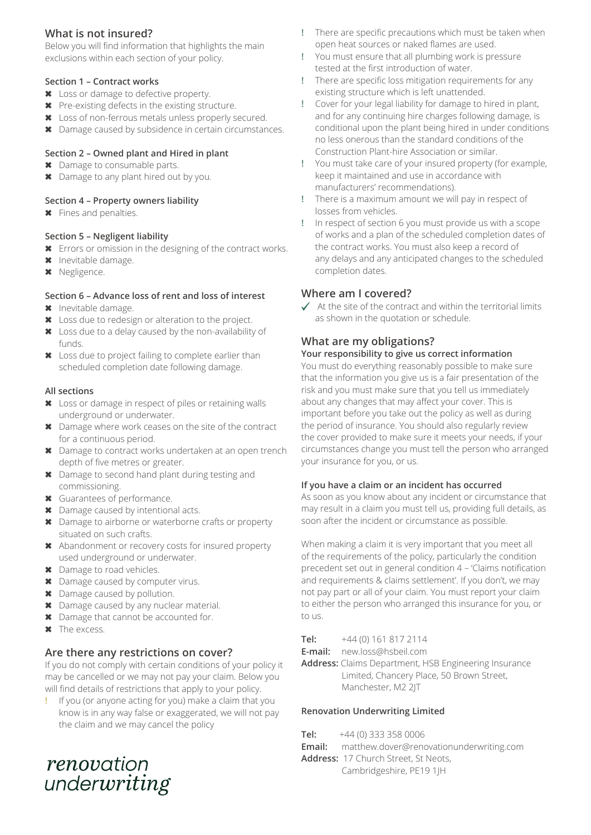# **What is not insured?**

Below you will find information that highlights the main exclusions within each section of your policy.

## **Section 1 – Contract works**

- ✖ Loss or damage to defective property.
- ✖ Pre-existing defects in the existing structure.
- ✖ Loss of non-ferrous metals unless properly secured.
- ✖ Damage caused by subsidence in certain circumstances.

## **Section 2 – Owned plant and Hired in plant**

- ✖ Damage to consumable parts.
- ✖ Damage to any plant hired out by you.

#### **Section 4 – Property owners liability**

✖ Fines and penalties.

#### **Section 5 – Negligent liability**

- ✖ Errors or omission in the designing of the contract works.
- ✖ Inevitable damage.
- ✖ Negligence.

## **Section 6 – Advance loss of rent and loss of interest**

- ✖ Inevitable damage.
- ✖ Loss due to redesign or alteration to the project.
- ✖ Loss due to a delay caused by the non-availability of funds.
- ✖ Loss due to project failing to complete earlier than scheduled completion date following damage.

#### **All sections**

- ✖ Loss or damage in respect of piles or retaining walls underground or underwater.
- ✖ Damage where work ceases on the site of the contract for a continuous period.
- ✖ Damage to contract works undertaken at an open trench depth of five metres or greater.
- ✖ Damage to second hand plant during testing and commissioning.
- ✖ Guarantees of performance.
- ✖ Damage caused by intentional acts.
- ✖ Damage to airborne or waterborne crafts or property situated on such crafts.
- ✖ Abandonment or recovery costs for insured property used underground or underwater.
- ✖ Damage to road vehicles.
- ✖ Damage caused by computer virus.
- ✖ Damage caused by pollution.
- ✖ Damage caused by any nuclear material.
- ✖ Damage that cannot be accounted for.
- ✖ The excess.

# **Are there any restrictions on cover?**

If you do not comply with certain conditions of your policy it may be cancelled or we may not pay your claim. Below you will find details of restrictions that apply to your policy.

**!** If you (or anyone acting for you) make a claim that you know is in any way false or exaggerated, we will not pay the claim and we may cancel the policy

- **!** There are specific precautions which must be taken when open heat sources or naked flames are used.
- **!** You must ensure that all plumbing work is pressure tested at the first introduction of water.
- **!** There are specific loss mitigation requirements for any existing structure which is left unattended.
- **!** Cover for your legal liability for damage to hired in plant, and for any continuing hire charges following damage, is conditional upon the plant being hired in under conditions no less onerous than the standard conditions of the Construction Plant-hire Association or similar.
- **!** You must take care of your insured property (for example, keep it maintained and use in accordance with manufacturers' recommendations).
- **!** There is a maximum amount we will pay in respect of losses from vehicles.
- **!** In respect of section 6 you must provide us with a scope of works and a plan of the scheduled completion dates of the contract works. You must also keep a record of any delays and any anticipated changes to the scheduled completion dates.

# **Where am I covered?**

 $\checkmark$  At the site of the contract and within the territorial limits as shown in the quotation or schedule.

# **What are my obligations?**

## **Your responsibility to give us correct information**

You must do everything reasonably possible to make sure that the information you give us is a fair presentation of the risk and you must make sure that you tell us immediately about any changes that may affect your cover. This is important before you take out the policy as well as during the period of insurance. You should also regularly review the cover provided to make sure it meets your needs, if your circumstances change you must tell the person who arranged your insurance for you, or us.

#### **If you have a claim or an incident has occurred**

As soon as you know about any incident or circumstance that may result in a claim you must tell us, providing full details, as soon after the incident or circumstance as possible.

When making a claim it is very important that you meet all of the requirements of the policy, particularly the condition precedent set out in general condition 4 – 'Claims notification and requirements & claims settlement'. If you don't, we may not pay part or all of your claim. You must report your claim to either the person who arranged this insurance for you, or to us.

**Tel:** +44 (0) 161 817 2114

**E-mail:** [new.loss@hsbeil.com](mailto:new.loss%40hsbeil.com?subject=)

**Address:** Claims Department, HSB Engineering Insurance Limited, Chancery Place, 50 Brown Street, Manchester, M2 2JT

## **Renovation Underwriting Limited**

**Tel:** +44 (0) 333 358 0006 **Email:** [matthew.dover@renovationunderwriting.com](mailto:matthew.dover%40renovationunderwriting.com?subject=) **Address:** 17 Church Street, St Neots, Cambridgeshire, PE19 1JH

renovation underwriting